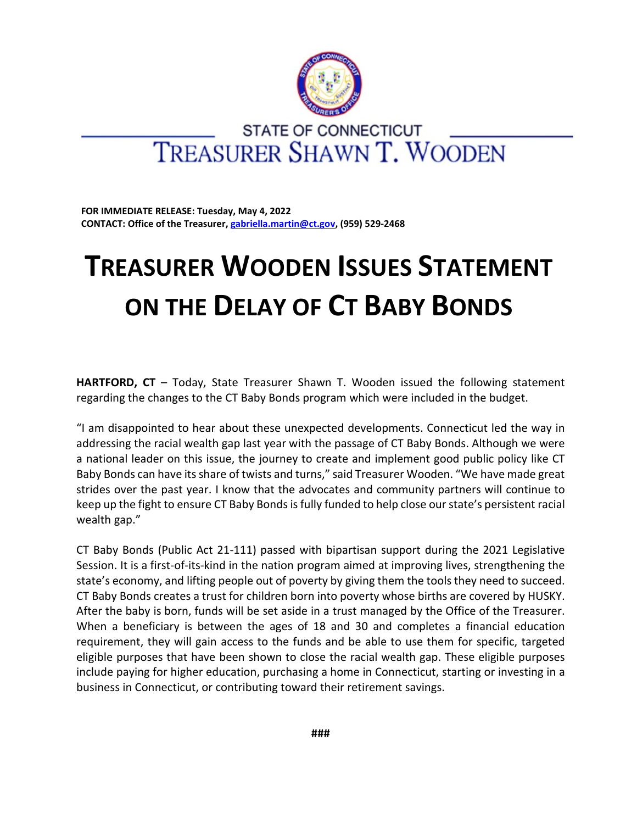

## **STATE OF CONNECTICUT TREASURER SHAWN T. WOODEN**

**FOR IMMEDIATE RELEASE: Tuesday, May 4, 2022 CONTACT: Office of the Treasurer, [gabriella.martin@ct.gov,](mailto:gabriella.martin@ct.gov) (959) 529-2468**

## **TREASURER WOODEN ISSUES STATEMENT ON THE DELAY OF CT BABY BONDS**

**HARTFORD, CT** – Today, State Treasurer Shawn T. Wooden issued the following statement regarding the changes to the CT Baby Bonds program which were included in the budget.

"I am disappointed to hear about these unexpected developments. Connecticut led the way in addressing the racial wealth gap last year with the passage of CT Baby Bonds. Although we were a national leader on this issue, the journey to create and implement good public policy like CT Baby Bonds can have its share of twists and turns," said Treasurer Wooden. "We have made great strides over the past year. I know that the advocates and community partners will continue to keep up the fight to ensure CT Baby Bonds is fully funded to help close our state's persistent racial wealth gap."

CT Baby Bonds (Public Act 21-111) passed with bipartisan support during the 2021 Legislative Session. It is a first-of-its-kind in the nation program aimed at improving lives, strengthening the state's economy, and lifting people out of poverty by giving them the tools they need to succeed. CT Baby Bonds creates a trust for children born into poverty whose births are covered by HUSKY. After the baby is born, funds will be set aside in a trust managed by the Office of the Treasurer. When a beneficiary is between the ages of 18 and 30 and completes a financial education requirement, they will gain access to the funds and be able to use them for specific, targeted eligible purposes that have been shown to close the racial wealth gap. These eligible purposes include paying for higher education, purchasing a home in Connecticut, starting or investing in a business in Connecticut, or contributing toward their retirement savings.